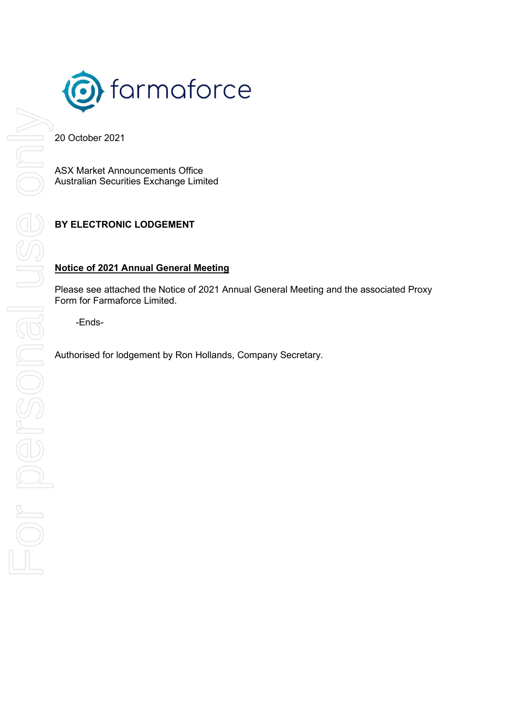

20 October 2021

ASX Market Announcements Office Australian Securities Exchange Limited

## **BY ELECTRONIC LODGEMENT**

## **Notice of 2021 Annual General Meeting**

Please see attached the Notice of 2021 Annual General Meeting and the associated Proxy Form for Farmaforce Limited.

-Ends-

Authorised for lodgement by Ron Hollands, Company Secretary.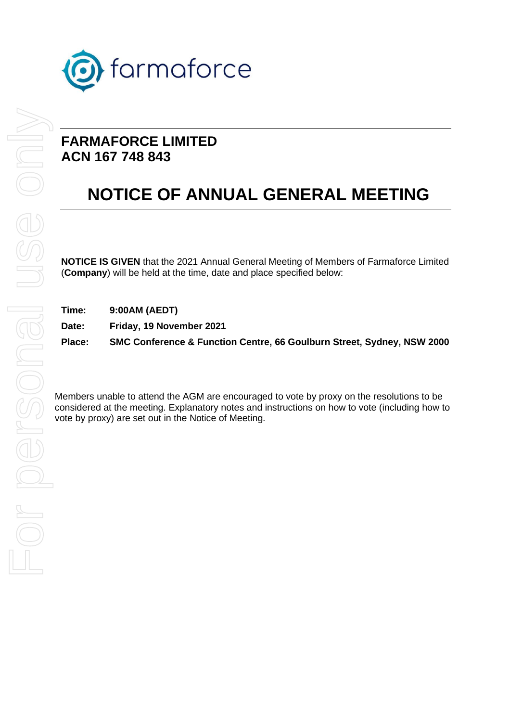

# **FARMAFORCE LIMITED ACN 167 748 843**

# **NOTICE OF ANNUAL GENERAL MEETING**

**NOTICE IS GIVEN** that the 2021 Annual General Meeting of Members of Farmaforce Limited (**Company**) will be held at the time, date and place specified below:

**Time: 9:00AM (AEDT)**

**Date: Friday, 19 November 2021**

**Place: SMC Conference & Function Centre, 66 Goulburn Street, Sydney, NSW 2000**

Members unable to attend the AGM are encouraged to vote by proxy on the resolutions to be considered at the meeting. Explanatory notes and instructions on how to vote (including how to vote by proxy) are set out in the Notice of Meeting.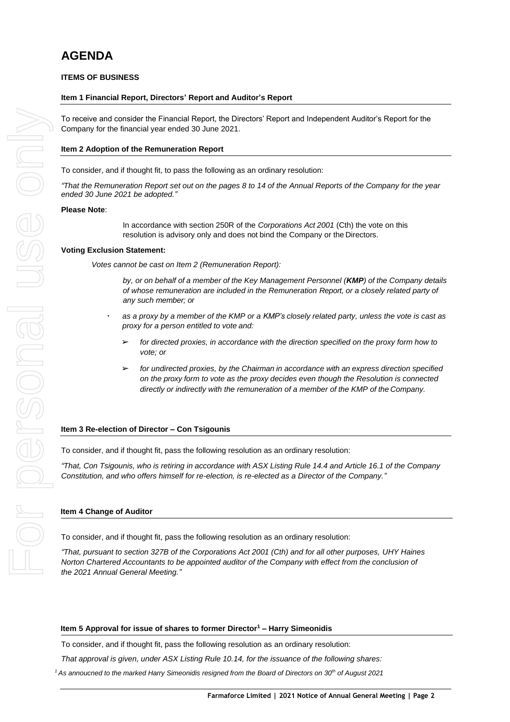# **AGENDA**

## **ITEMS OF BUSINESS**

#### **Item 1 Financial Report, Directors' Report and Auditor's Report**

To receive and consider the Financial Report, the Directors' Report and Independent Auditor's Report for the Company for the financial year ended 30 June 2021.

#### **Item 2 Adoption of the Remuneration Report**

To consider, and if thought fit, to pass the following as an ordinary resolution:

*"That the Remuneration Report set out on the pages 8 to 14 of the Annual Reports of the Company for the year ended 30 June 2021 be adopted."*

#### **Please Note**:

In accordance with section 250R of the *Corporations Act 2001* (Cth) the vote on this resolution is advisory only and does not bind the Company or the Directors.

#### **Voting Exclusion Statement:**

*Votes cannot be cast on Item 2 (Remuneration Report):*

*by, or on behalf of a member of the Key Management Personnel (KMP) of the Company details of whose remuneration are included in the Remuneration Report, or a closely related party of any such member; or*

- **·** *as a proxy by a member of the KMP or a KMP's closely related party, unless the vote is cast as proxy for a person entitled to vote and:*
	- ➢ *for directed proxies, in accordance with the direction specified on the proxy form how to vote; or*
	- ➢ *for undirected proxies, by the Chairman in accordance with an express direction specified on the proxy form to vote as the proxy decides even though the Resolution is connected directly or indirectly with the remuneration of a member of the KMP of the Company.*

#### **Item 3 Re-election of Director – Con Tsigounis**

To consider, and if thought fit, pass the following resolution as an ordinary resolution:

*"That, Con Tsigounis, who is retiring in accordance with ASX Listing Rule 14.4 and Article 16.1 of the Company Constitution, and who offers himself for re-election, is re-elected as a Director of the Company."*

#### **Item 4 Change of Auditor**

To consider, and if thought fit, pass the following resolution as an ordinary resolution:

*"That, pursuant to section 327B of the Corporations Act 2001 (Cth) and for all other purposes, UHY Haines Norton Chartered Accountants to be appointed auditor of the Company with effect from the conclusion of the 2021 Annual General Meeting."* 

#### **Item 5 Approval for issue of shares to former Director<sup>1</sup> – Harry Simeonidis**

To consider, and if thought fit, pass the following resolution as an ordinary resolution:

*That approval is given, under ASX Listing Rule 10.14, for the issuance of the following shares:*

*<sup>1</sup>As annoucned to the marked Harry Simeonidis resigned from the Board of Directors on 30th of August 2021*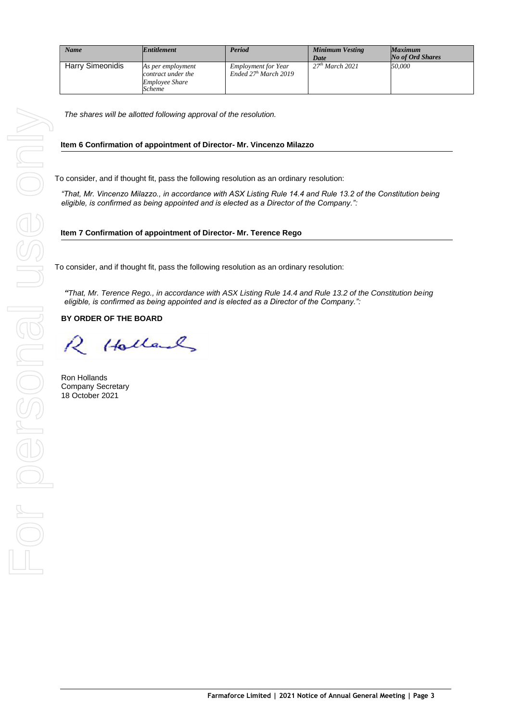| <b>Name</b>             | <b>Entitlement</b>                                                                | Period                                               | <b>Minimum Vesting</b><br>Date | <b>Maximum</b><br><b>No of Ord Shares</b> |
|-------------------------|-----------------------------------------------------------------------------------|------------------------------------------------------|--------------------------------|-------------------------------------------|
| <b>Harry Simeonidis</b> | As per employment<br>contract under the<br><i><b>Employee Share</b></i><br>Scheme | <b>Employment for Year</b><br>Ended $27h$ March 2019 | 27 <sup>th</sup> March 2021    | 50,000                                    |

*The shares will be allotted following approval of the resolution.*

#### **Item 6 Confirmation of appointment of Director- Mr. Vincenzo Milazzo**

To consider, and if thought fit, pass the following resolution as an ordinary resolution:

*"That, Mr. Vincenzo Milazzo., in accordance with ASX Listing Rule 14.4 and Rule 13.2 of the Constitution being eligible, is confirmed as being appointed and is elected as a Director of the Company.":*

#### **Item 7 Confirmation of appointment of Director- Mr. Terence Rego**

To consider, and if thought fit, pass the following resolution as an ordinary resolution:

*"That, Mr. Terence Rego., in accordance with ASX Listing Rule 14.4 and Rule 13.2 of the Constitution being eligible, is confirmed as being appointed and is elected as a Director of the Company.":*

**BY ORDER OF THE BOARD**

Holland

Ron Hollands Company Secretary 18 October 2021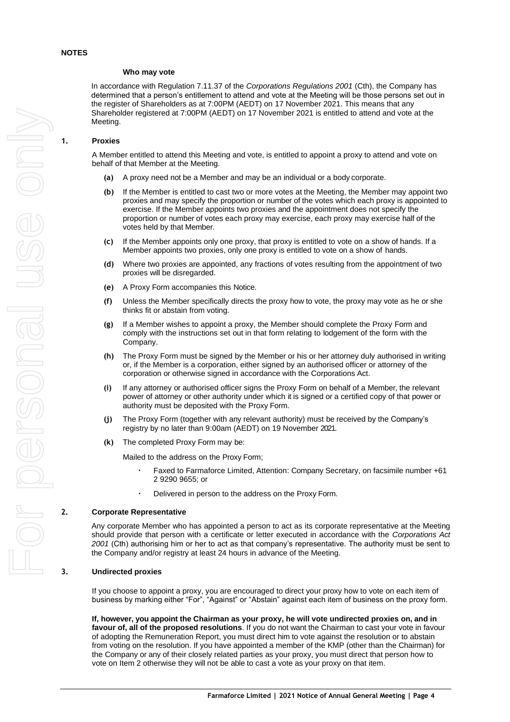#### **Who may vote**

In accordance with Regulation 7.11.37 of the *Corporations Regulations 2001* (Cth), the Company has determined that a person's entitlement to attend and vote at the Meeting will be those persons set out in the register of Shareholders as at 7:00PM (AEDT) on 17 November 2021. This means that any Shareholder registered at 7:00PM (AEDT) on 17 November 2021 is entitled to attend and vote at the Meeting.

#### **1. Proxies**

A Member entitled to attend this Meeting and vote, is entitled to appoint a proxy to attend and vote on behalf of that Member at the Meeting.

- **(a)** A proxy need not be a Member and may be an individual or a body corporate.
- **(b)** If the Member is entitled to cast two or more votes at the Meeting, the Member may appoint two proxies and may specify the proportion or number of the votes which each proxy is appointed to exercise. If the Member appoints two proxies and the appointment does not specify the proportion or number of votes each proxy may exercise, each proxy may exercise half of the votes held by that Member.
- **(c)** If the Member appoints only one proxy, that proxy is entitled to vote on a show of hands. If a Member appoints two proxies, only one proxy is entitled to vote on a show of hands.
- **(d)** Where two proxies are appointed, any fractions of votes resulting from the appointment of two proxies will be disregarded.
- **(e)** A Proxy Form accompanies this Notice.
- **(f)** Unless the Member specifically directs the proxy how to vote, the proxy may vote as he or she thinks fit or abstain from voting.
- **(g)** If a Member wishes to appoint a proxy, the Member should complete the Proxy Form and comply with the instructions set out in that form relating to lodgement of the form with the Company.
- **(h)** The Proxy Form must be signed by the Member or his or her attorney duly authorised in writing or, if the Member is a corporation, either signed by an authorised officer or attorney of the corporation or otherwise signed in accordance with the Corporations Act.
- **(i)** If any attorney or authorised officer signs the Proxy Form on behalf of a Member, the relevant power of attorney or other authority under which it is signed or a certified copy of that power or authority must be deposited with the Proxy Form.
- **(j)** The Proxy Form (together with any relevant authority) must be received by the Company's registry by no later than 9:00am (AEDT) on 19 November 2021.
- **(k)** The completed Proxy Form may be:

Mailed to the address on the Proxy Form;

- **·** Faxed to Farmaforce Limited, Attention: Company Secretary, on facsimile number +61 2 9290 9655; or
- **·** Delivered in person to the address on the Proxy Form.

#### **2. Corporate Representative**

Any corporate Member who has appointed a person to act as its corporate representative at the Meeting should provide that person with a certificate or letter executed in accordance with the *Corporations Act 2001* (Cth) authorising him or her to act as that company's representative. The authority must be sent to the Company and/or registry at least 24 hours in advance of the Meeting.

#### **3. Undirected proxies**

If you choose to appoint a proxy, you are encouraged to direct your proxy how to vote on each item of business by marking either "For", "Against" or "Abstain" against each item of business on the proxy form.

**If, however, you appoint the Chairman as your proxy, he will vote undirected proxies on, and in favour of, all of the proposed resolutions**. If you do not want the Chairman to cast your vote in favour of adopting the Remuneration Report, you must direct him to vote against the resolution or to abstain from voting on the resolution. If you have appointed a member of the KMP (other than the Chairman) for the Company or any of their closely related parties as your proxy, you must direct that person how to vote on Item 2 otherwise they will not be able to cast a vote as your proxy on that item.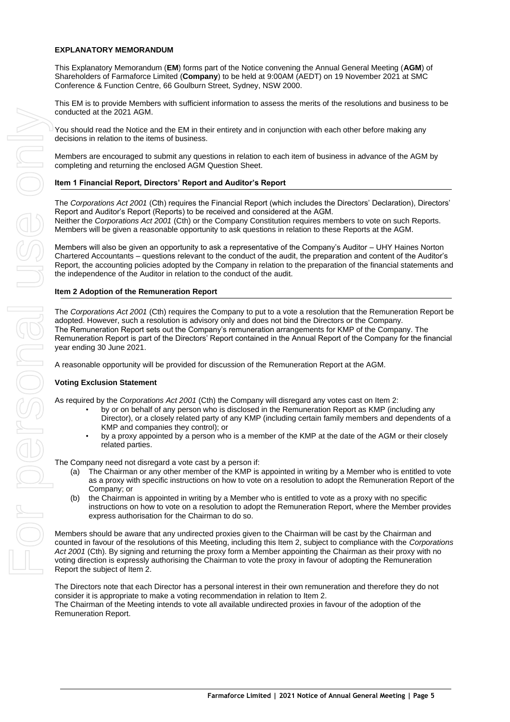#### **EXPLANATORY MEMORANDUM**

This Explanatory Memorandum (**EM**) forms part of the Notice convening the Annual General Meeting (**AGM**) of Shareholders of Farmaforce Limited (**Company**) to be held at 9:00AM (AEDT) on 19 November 2021 at SMC Conference & Function Centre, 66 Goulburn Street, Sydney, NSW 2000.

This EM is to provide Members with sufficient information to assess the merits of the resolutions and business to be conducted at the 2021 AGM.

You should read the Notice and the EM in their entirety and in conjunction with each other before making any decisions in relation to the items of business.

Members are encouraged to submit any questions in relation to each item of business in advance of the AGM by completing and returning the enclosed AGM Question Sheet.

## **Item 1 Financial Report, Directors' Report and Auditor's Report**

The *Corporations Act 2001* (Cth) requires the Financial Report (which includes the Directors' Declaration), Directors' Report and Auditor's Report (Reports) to be received and considered at the AGM. Neither the *Corporations Act 2001* (Cth) or the Company Constitution requires members to vote on such Reports. Members will be given a reasonable opportunity to ask questions in relation to these Reports at the AGM.

Members will also be given an opportunity to ask a representative of the Company's Auditor – UHY Haines Norton Chartered Accountants – questions relevant to the conduct of the audit, the preparation and content of the Auditor's Report, the accounting policies adopted by the Company in relation to the preparation of the financial statements and the independence of the Auditor in relation to the conduct of the audit.

#### **Item 2 Adoption of the Remuneration Report**

The *Corporations Act 2001* (Cth) requires the Company to put to a vote a resolution that the Remuneration Report be adopted. However, such a resolution is advisory only and does not bind the Directors or the Company. The Remuneration Report sets out the Company's remuneration arrangements for KMP of the Company. The Remuneration Report is part of the Directors' Report contained in the Annual Report of the Company for the financial year ending 30 June 2021.

A reasonable opportunity will be provided for discussion of the Remuneration Report at the AGM.

## **Voting Exclusion Statement**

As required by the *Corporations Act 2001* (Cth) the Company will disregard any votes cast on Item 2:

- by or on behalf of any person who is disclosed in the Remuneration Report as KMP (including any Director), or a closely related party of any KMP (including certain family members and dependents of a KMP and companies they control); or
- by a proxy appointed by a person who is a member of the KMP at the date of the AGM or their closely related parties.

The Company need not disregard a vote cast by a person if:

- (a) The Chairman or any other member of the KMP is appointed in writing by a Member who is entitled to vote as a proxy with specific instructions on how to vote on a resolution to adopt the Remuneration Report of the Company; or
- (b) the Chairman is appointed in writing by a Member who is entitled to vote as a proxy with no specific instructions on how to vote on a resolution to adopt the Remuneration Report, where the Member provides express authorisation for the Chairman to do so.

Members should be aware that any undirected proxies given to the Chairman will be cast by the Chairman and counted in favour of the resolutions of this Meeting, including this Item 2, subject to compliance with the *Corporations Act 2001* (Cth). By signing and returning the proxy form a Member appointing the Chairman as their proxy with no voting direction is expressly authorising the Chairman to vote the proxy in favour of adopting the Remuneration Report the subject of Item 2.

The Directors note that each Director has a personal interest in their own remuneration and therefore they do not consider it is appropriate to make a voting recommendation in relation to Item 2. The Chairman of the Meeting intends to vote all available undirected proxies in favour of the adoption of the Remuneration Report.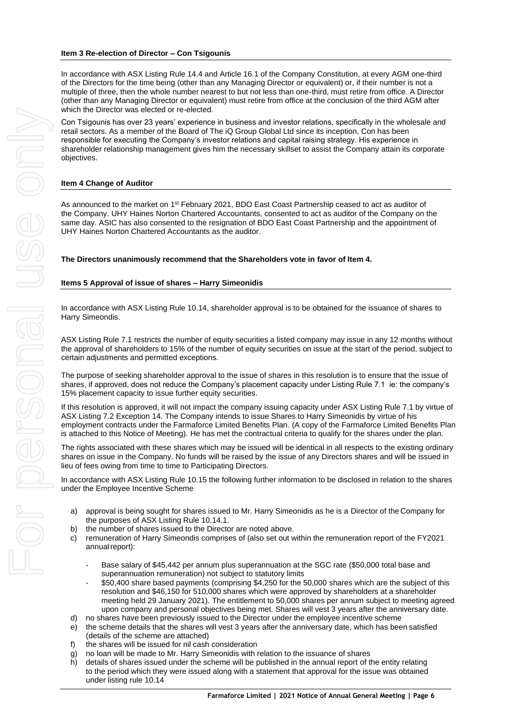In accordance with ASX Listing Rule 14.4 and Article 16.1 of the Company Constitution, at every AGM one-third of the Directors for the time being (other than any Managing Director or equivalent) or, if their number is not a multiple of three, then the whole number nearest to but not less than one-third, must retire from office. A Director (other than any Managing Director or equivalent) must retire from office at the conclusion of the third AGM after which the Director was elected or re-elected.

Con Tsigounis has over 23 years' experience in business and investor relations, specifically in the wholesale and retail sectors. As a member of the Board of The iQ Group Global Ltd since its inception, Con has been responsible for executing the Company's investor relations and capital raising strategy. His experience in shareholder relationship management gives him the necessary skillset to assist the Company attain its corporate objectives.

## **Item 4 Change of Auditor**

As announced to the market on 1<sup>st</sup> February 2021, BDO East Coast Partnership ceased to act as auditor of the Company. UHY Haines Norton Chartered Accountants, consented to act as auditor of the Company on the same day. ASIC has also consented to the resignation of BDO East Coast Partnership and the appointment of UHY Haines Norton Chartered Accountants as the auditor.

**The Directors unanimously recommend that the Shareholders vote in favor of Item 4.**

#### **Items 5 Approval of issue of shares – Harry Simeonidis**

In accordance with ASX Listing Rule 10.14, shareholder approval is to be obtained for the issuance of shares to Harry Simeondis.

ASX Listing Rule 7.1 restricts the number of equity securities a listed company may issue in any 12 months without the approval of shareholders to 15% of the number of equity securities on issue at the start of the period, subject to certain adjustments and permitted exceptions.

The purpose of seeking shareholder approval to the issue of shares in this resolution is to ensure that the issue of shares, if approved, does not reduce the Company's placement capacity under Listing Rule 7.1 ie: the company's 15% placement capacity to issue further equity securities.

If this resolution is approved, it will not impact the company issuing capacity under ASX Listing Rule 7.1 by virtue of ASX Listing 7.2 Exception 14. The Company intends to issue Shares to Harry Simeonidis by virtue of his employment contracts under the Farmaforce Limited Benefits Plan. (A copy of the Farmaforce Limited Benefits Plan is attached to this Notice of Meeting). He has met the contractual criteria to qualify for the shares under the plan.

The rights associated with these shares which may be issued will be identical in all respects to the existing ordinary shares on issue in the Company. No funds will be raised by the issue of any Directors shares and will be issued in lieu of fees owing from time to time to Participating Directors.

In accordance with ASX Listing Rule 10.15 the following further information to be disclosed in relation to the shares under the Employee Incentive Scheme

- a) approval is being sought for shares issued to Mr. Harry Simeonidis as he is a Director of the Company for the purposes of ASX Listing Rule 10.14.1.
- b) the number of shares issued to the Director are noted above.
- c) remuneration of Harry Simeondis comprises of (also set out within the remuneration report of the FY2021 annual report):
	- Base salary of \$45,442 per annum plus superannuation at the SGC rate (\$50,000 total base and superannuation remuneration) not subject to statutory limits
	- \$50,400 share based payments (comprising \$4,250 for the 50,000 shares which are the subject of this resolution and \$46,150 for 510,000 shares which were approved by shareholders at a shareholder meeting held 29 January 2021). The entitlement to 50,000 shares per annum subject to meeting agreed upon company and personal objectives being met. Shares will vest 3 years after the anniversary date.
- d) no shares have been previously issued to the Director under the employee incentive scheme
- e) the scheme details that the shares will vest 3 years after the anniversary date, which has been satisfied (details of the scheme are attached)
- f) the shares will be issued for nil cash consideration
- g) no loan will be made to Mr. Harry Simeonidis with relation to the issuance of shares
- h) details of shares issued under the scheme will be published in the annual report of the entity relating to the period which they were issued along with a statement that approval for the issue was obtained under listing rule 10.14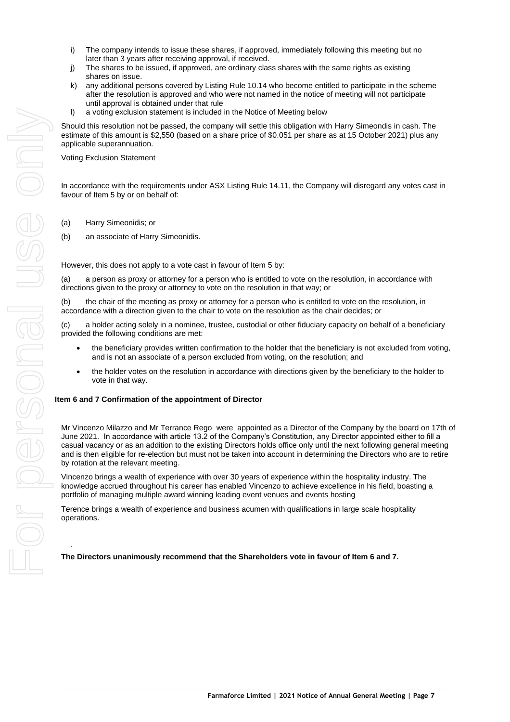- i) The company intends to issue these shares, if approved, immediately following this meeting but no later than 3 years after receiving approval, if received.
- j) The shares to be issued, if approved, are ordinary class shares with the same rights as existing shares on issue.
- k) any additional persons covered by Listing Rule 10.14 who become entitled to participate in the scheme after the resolution is approved and who were not named in the notice of meeting will not participate until approval is obtained under that rule
- l) a voting exclusion statement is included in the Notice of Meeting below

Should this resolution not be passed, the company will settle this obligation with Harry Simeondis in cash. The estimate of this amount is \$2,550 (based on a share price of \$0.051 per share as at 15 October 2021) plus any applicable superannuation.

Voting Exclusion Statement

In accordance with the requirements under ASX Listing Rule 14.11, the Company will disregard any votes cast in favour of Item 5 by or on behalf of:

- (a) Harry Simeonidis; or
- (b) an associate of Harry Simeonidis.

However, this does not apply to a vote cast in favour of Item 5 by:

(a) a person as proxy or attorney for a person who is entitled to vote on the resolution, in accordance with directions given to the proxy or attorney to vote on the resolution in that way; or

(b) the chair of the meeting as proxy or attorney for a person who is entitled to vote on the resolution, in accordance with a direction given to the chair to vote on the resolution as the chair decides; or

(c) a holder acting solely in a nominee, trustee, custodial or other fiduciary capacity on behalf of a beneficiary provided the following conditions are met:

- the beneficiary provides written confirmation to the holder that the beneficiary is not excluded from voting, and is not an associate of a person excluded from voting, on the resolution; and
- the holder votes on the resolution in accordance with directions given by the beneficiary to the holder to vote in that way.

#### **Item 6 and 7 Confirmation of the appointment of Director**

Mr Vincenzo Milazzo and Mr Terrance Rego were appointed as a Director of the Company by the board on 17th of June 2021. In accordance with article 13.2 of the Company's Constitution, any Director appointed either to fill a casual vacancy or as an addition to the existing Directors holds office only until the next following general meeting and is then eligible for re-election but must not be taken into account in determining the Directors who are to retire by rotation at the relevant meeting.

Vincenzo brings a wealth of experience with over 30 years of experience within the hospitality industry. The knowledge accrued throughout his career has enabled Vincenzo to achieve excellence in his field, boasting a portfolio of managing multiple award winning leading event venues and events hosting

Terence brings a wealth of experience and business acumen with qualifications in large scale hospitality operations.

**The Directors unanimously recommend that the Shareholders vote in favour of Item 6 and 7.** 

.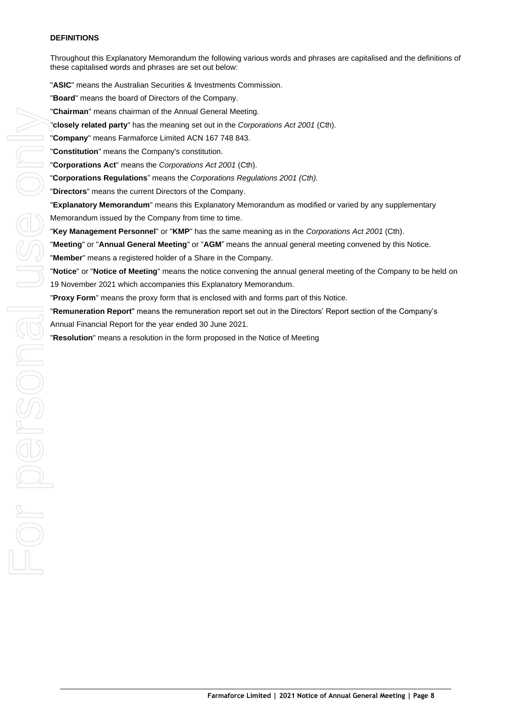#### **DEFINITIONS**

Throughout this Explanatory Memorandum the following various words and phrases are capitalised and the definitions of these capitalised words and phrases are set out below:

"**ASIC**" means the Australian Securities & Investments Commission. "**Board**" means the board of Directors of the Company. "**Chairman**" means chairman of the Annual General Meeting. "**closely related party**" has the meaning set out in the *Corporations Act 2001* (Cth). "**Company**" means Farmaforce Limited ACN 167 748 843. "**Constitution**" means the Company's constitution. "**Corporations Act**" means the *Corporations Act 2001* (Cth). "**Corporations Regulations**" means the *Corporations Regulations 2001 (Cth).* "**Directors**" means the current Directors of the Company. "**Explanatory Memorandum**" means this Explanatory Memorandum as modified or varied by any supplementary Memorandum issued by the Company from time to time. "**Key Management Personnel**" or "**KMP**" has the same meaning as in the *Corporations Act 2001* (Cth). "**Meeting**" or "**Annual General Meeting**" or "**AGM**" means the annual general meeting convened by this Notice. "**Member**" means a registered holder of a Share in the Company. "**Notice**" or "**Notice of Meeting**" means the notice convening the annual general meeting of the Company to be held on **Chairman** means a resolution in the Amusi General Meeting Christmas chair and the Componsions Act 2001;<br> **Company** "means Farmdoros Limited ACN 167748 843.<br> **Constitution** "means the Componsions Act 2001 (Chr).<br> **Construc** 

19 November 2021 which accompanies this Explanatory Memorandum.

"**Remuneration Report**" means the remuneration report set out in the Directors' Report section of the Company's Annual Financial Report for the year ended 30 June 2021.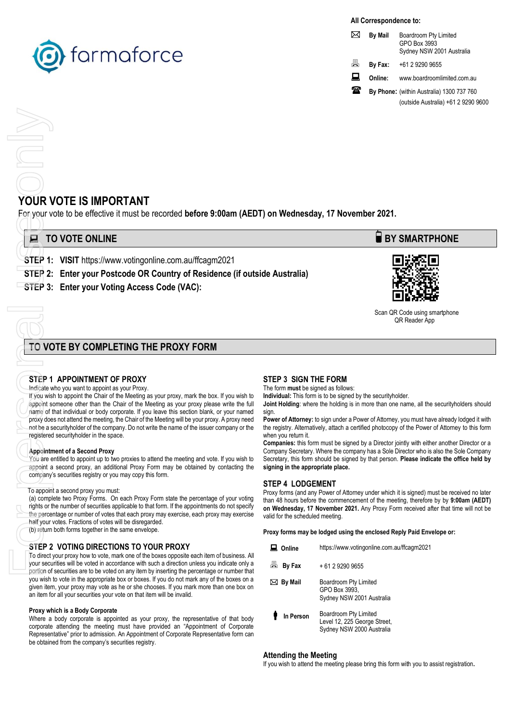

#### **All Correspondence to:**

|   | <b>By Mail</b> | Boardroom Pty Limited<br>GPO Box 3993<br>Sydney NSW 2001 Australia |
|---|----------------|--------------------------------------------------------------------|
| 昌 | By Fax:        | +61 2 9290 9655                                                    |
| ᡰ | Online:        | www.boardroomlimited.com.au                                        |
| ж |                | By Phone: (within Australia) 1300 737 760                          |
|   |                | (outside Australia) +61 2 9290 9600                                |

## **YOUR VOTE IS IMPORTANT**

For your vote to be effective it must be recorded **before 9:00am (AEDT) on Wednesday, 17 November 2021.**

| <b>E</b> TO VOTE ONLINE |                                                                                                                                     |
|-------------------------|-------------------------------------------------------------------------------------------------------------------------------------|
|                         | $\overline{C}$ $\overline{C}$ $\overline{D}$ $\overline{A}$ . MOIT letter of the construction of the construction of $\overline{C}$ |

- **STEP 1: VISIT** https://www.votingonline.com.au/ffcagm2021
- **STEP 2: Enter your Postcode OR Country of Residence (if outside Australia)**
- **STEP 3: Enter your Voting Access Code (VAC):**

# **TO VOTE BY COMPLETING THE PROXY FORM**

#### **STEP 1 APPOINTMENT OF PROXY**

#### Indicate who you want to appoint as your Proxy.

If you wish to appoint the Chair of the Meeting as your proxy, mark the box. If you wish to appoint someone other than the Chair of the Meeting as your proxy please write the full name of that individual or body corporate. If you leave this section blank, or your named proxy does not attend the meeting, the Chair of the Meeting will be your proxy. A proxy need not be a securityholder of the company. Do not write the name of the issuer company or the registered securityholder in the space. **For your v**<br> **For your v**<br> **STEP 1:**<br>
STEP 1:<br>
STEP 3:<br>
STEP 1<br>
Indicate w<br> **For your vise only by the person of the person of the person of the person in the person of the person of the person of the person of the person** 

#### **Appointment of a Second Proxy**

You are entitled to appoint up to two proxies to attend the meeting and vote. If you wish to appoint a second proxy, an additional Proxy Form may be obtained by contacting the company's securities registry or you may copy this form.

#### To appoint a second proxy you must:

(a) complete two Proxy Forms. On each Proxy Form state the percentage of your voting rights or the number of securities applicable to that form. If the appointments do not specify the percentage or number of votes that each proxy may exercise, each proxy may exercise half your votes. Fractions of votes will be disregarded.

(b) return both forms together in the same envelope.

#### **STEP 2 VOTING DIRECTIONS TO YOUR PROXY**

To direct your proxy how to vote, mark one of the boxes opposite each item of business. All your securities will be voted in accordance with such a direction unless you indicate only a portion of securities are to be voted on any item by inserting the percentage or number that you wish to vote in the appropriate box or boxes. If you do not mark any of the boxes on a given item, your proxy may vote as he or she chooses. If you mark more than one box on an item for all your securities your vote on that item will be invalid.

#### **Proxy which is a Body Corporate**

Where a body corporate is appointed as your proxy, the representative of that body corporate attending the meeting must have provided an "Appointment of Corporate Representative" prior to admission. An Appointment of Corporate Representative form can be obtained from the company's securities registry.

## **STEP 3 SIGN THE FORM**

The form **must** be signed as follows:

**Individual:** This form is to be signed by the securityholder.

**Joint Holding**: where the holding is in more than one name, all the securityholders should sign.

**Power of Attorney:** to sign under a Power of Attorney, you must have already lodged it with the registry. Alternatively, attach a certified photocopy of the Power of Attorney to this form when you return it.

**Companies:** this form must be signed by a Director jointly with either another Director or a Company Secretary. Where the company has a Sole Director who is also the Sole Company Secretary, this form should be signed by that person. **Please indicate the office held by signing in the appropriate place.**

#### **STEP 4 LODGEMENT**

Proxy forms (and any Power of Attorney under which it is signed) must be received no later than 48 hours before the commencement of the meeting, therefore by by **9:00am (AEDT) on Wednesday, 17 November 2021.** Any Proxy Form received after that time will not be valid for the scheduled meeting.

**Proxy forms may be lodged using the enclosed Reply Paid Envelope or:**

| Online              | https://www.votingonline.com.au/ffcagm2021                                         |
|---------------------|------------------------------------------------------------------------------------|
| 昌 By Fax            | $+61$ 2 9290 9655                                                                  |
| $\boxtimes$ By Mail | Boardroom Pty Limited<br>GPO Box 3993,<br>Sydney NSW 2001 Australia                |
| In Person           | Boardroom Pty Limited<br>Level 12, 225 George Street,<br>Sydney NSW 2000 Australia |

#### **Attending the Meeting**

If you wish to attend the meeting please bring this form with you to assist registration**.**





 Scan QR Code using smartphone QR Reader App